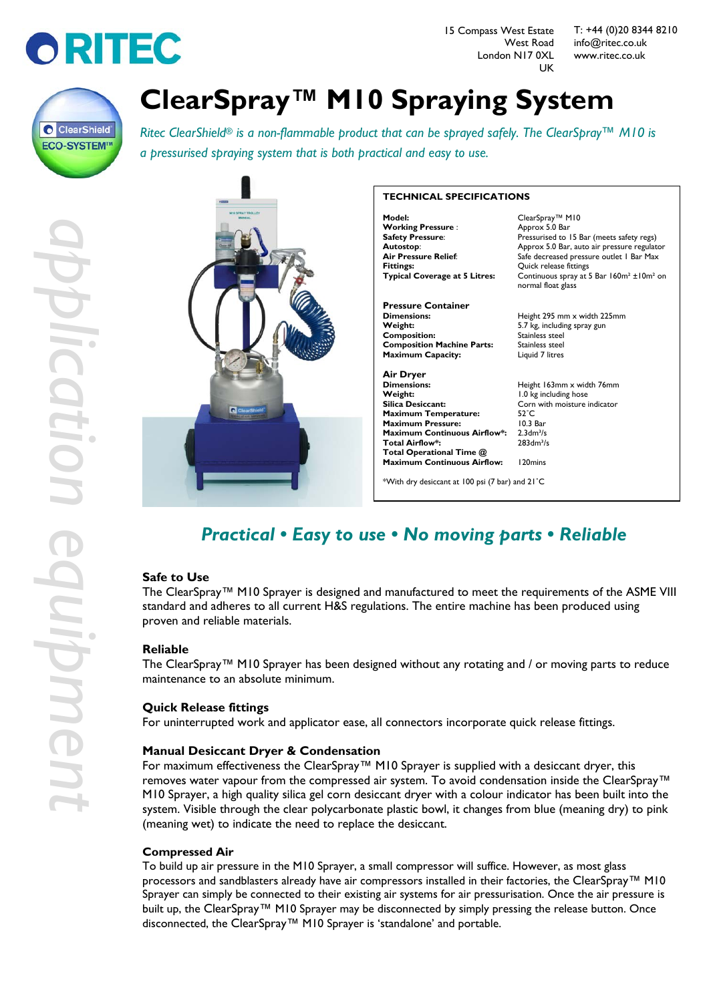

15 Compass West Estate West Road London N17 0XL UK

T: +44 (0)20 8344 8210 [info@ritec.co.uk](mailto:ksm@ritec.co.uk) www.ritec.co.uk



# **ClearSpray™ M10 Spraying System**

*Ritec ClearShield® is a non-flammable product that can be sprayed safely. The ClearSpray™ M10 is a pressurised spraying system that is both practical and easy to use.*



#### **TECHNICAL SPECIFICATIONS Model:** ClearSpray™ M10<br> **Working Pressure** : ClearSpray™ M10 **Working Pressure :<br>Safety Pressure: Safety Pressure:** Pressurised to 15 Bar (meets safety regs)<br>**Autostop:** Approx 5.0 Bar, auto air pressure regulat **Autostop**: Approx 5.0 Bar, auto air pressure regulator **Air Pressure Relief:** Safe decreased pressure outlet 1 Bar Max<br>**Fittings:** Cuick release fittings **Fittings:** Quick release fittings<br>**Typical Coverage at 5 Litres:** Continuous spray at ! **Pressure Container Dimensions:** Height 295 mm x width 225mm **Weight:** 5.7 kg, including spray gun **Composition:** Stainless steel<br>**Composition Machine Parts:** Stainless steel **Composition Machine Parts:** Stainless steel<br>**Maximum Capacity:** Liquid 7 litres **Maximum Capacity: Air Dryer Dimensions:** Height 163mm x width 76mm **Weight:** 1.0 kg including hose **Maximum Temperature:** 52°C<br>**Maximum Pressure:** 10.3 Bar **Maximum Pressure:** 10.3 Bar<br>**Maximum Continuous Airflow\*:** 2.3dm<sup>3</sup>/s **Maximum Continuous Airflow\*:** 2.3dm<sup>3</sup>/s<br>Total Airflow\*: 283dm<sup>3</sup>/s **Total Airflow\* Total Operational Time @**

**Typical Coverage at 5 Litres:** Continuous spray at 5 Bar 160m² ±10m² on normal float glass

Corn with moisture indicator<br>52<sup>°</sup>C **Maximum Continuous Airflow:** 120mins

\*With dry desiccant at 100 psi (7 bar) and 21˚C

# *Practical • Easy to use • No moving parts • Reliable*

# **Safe to Use**

The ClearSpray™ M10 Sprayer is designed and manufactured to meet the requirements of the ASME VIII standard and adheres to all current H&S regulations. The entire machine has been produced using proven and reliable materials.

# **Reliable**

The ClearSpray™ M10 Sprayer has been designed without any rotating and / or moving parts to reduce maintenance to an absolute minimum.

# **Quick Release fittings**

For uninterrupted work and applicator ease, all connectors incorporate quick release fittings.

# **Manual Desiccant Dryer & Condensation**

For maximum effectiveness the ClearSpray™ M10 Sprayer is supplied with a desiccant dryer, this removes water vapour from the compressed air system. To avoid condensation inside the ClearSpray™ M10 Sprayer, a high quality silica gel corn desiccant dryer with a colour indicator has been built into the system. Visible through the clear polycarbonate plastic bowl, it changes from blue (meaning dry) to pink (meaning wet) to indicate the need to replace the desiccant.

# **Compressed Air**

To build up air pressure in the M10 Sprayer, a small compressor will suffice. However, as most glass processors and sandblasters already have air compressors installed in their factories, the ClearSpray™ M10 Sprayer can simply be connected to their existing air systems for air pressurisation. Once the air pressure is built up, the ClearSpray™ M10 Sprayer may be disconnected by simply pressing the release button. Once disconnected, the ClearSpray™ M10 Sprayer is 'standalone' and portable.